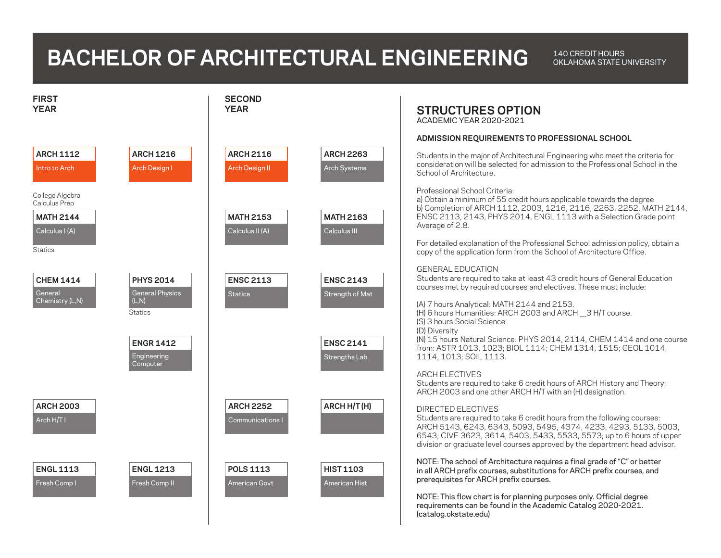## **BACHELOR OF ARCHITECTURAL ENGINEERING**

OKLAHOMA STATE UNIVERSITY

| <b>FIRST</b><br><b>YEAR</b>                                                                                             | <b>SECOND</b><br><b>YEAR</b>                |                                         | <b>STRUCTURES OPTION</b><br>ACADEMIC YEAR 2020-2021                                                                                                                                                                                                                                                                               |
|-------------------------------------------------------------------------------------------------------------------------|---------------------------------------------|-----------------------------------------|-----------------------------------------------------------------------------------------------------------------------------------------------------------------------------------------------------------------------------------------------------------------------------------------------------------------------------------|
|                                                                                                                         |                                             |                                         | ADMISSION REQUIREMENTS TO PROFESSIONAL SCHOOL                                                                                                                                                                                                                                                                                     |
| <b>ARCH 1112</b><br><b>ARCH 1216</b><br>Arch Design I<br>Intro to Arch                                                  | <b>ARCH 2116</b><br>Arch Design II          | <b>ARCH 2263</b><br><b>Arch Systems</b> | Students in the major of Architectural Engineering who meet the criteria for<br>consideration will be selected for admission to the Professional School in the<br>School of Architecture.                                                                                                                                         |
| College Algebra<br>Calculus Prep<br><b>MATH 2144</b><br>Calculus I (A)                                                  | <b>MATH 2153</b><br>Calculus II (A)         | <b>MATH 2163</b><br>Calculus III        | Professional School Criteria:<br>a) Obtain a minimum of 55 credit hours applicable towards the degree<br>b) Completion of ARCH 1112, 2003, 1216, 2116, 2263, 2252, MATH 2144,<br>ENSC 2113, 2143, PHYS 2014, ENGL 1113 with a Selection Grade point<br>Average of 2.8.                                                            |
| <b>Statics</b>                                                                                                          |                                             |                                         | For detailed explanation of the Professional School admission policy, obtain a<br>copy of the application form from the School of Architecture Office.                                                                                                                                                                            |
| <b>CHEM 1414</b><br><b>PHYS 2014</b><br>General<br><b>General Physics</b><br>Chemistry (L,N)<br>(L,N)<br><b>Statics</b> | <b>ENSC 2113</b><br><b>Statics</b>          | <b>ENSC 2143</b><br>Strength of Mat     | <b>GENERAL EDUCATION</b><br>Students are required to take at least 43 credit hours of General Education<br>courses met by required courses and electives. These must include:<br>(A) 7 hours Analytical: MATH 2144 and 2153.<br>(H) 6 hours Humanities: ARCH 2003 and ARCH 3 H/T course.                                          |
| <b>ENGR 1412</b><br>Engineering<br>Computer                                                                             |                                             | <b>ENSC 2141</b><br>Strengths Lab       | (S) 3 hours Social Science<br>(D) Diversity<br>(N) 15 hours Natural Science: PHYS 2014, 2114, CHEM 1414 and one course<br>from: ASTR 1013, 1023; BIOL 1114; CHEM 1314, 1515; GEOL 1014,<br>1114, 1013; SOIL 1113.                                                                                                                 |
|                                                                                                                         |                                             |                                         | <b>ARCH ELECTIVES</b><br>Students are required to take 6 credit hours of ARCH History and Theory;<br>ARCH 2003 and one other ARCH H/T with an (H) designation.                                                                                                                                                                    |
| <b>ARCH 2003</b><br>Arch H/T I                                                                                          | <b>ARCH 2252</b><br><b>Communications I</b> | ARCH H/T(H)                             | <b>DIRECTED ELECTIVES</b><br>Students are required to take 6 credit hours from the following courses:<br>ARCH 5143, 6243, 6343, 5093, 5495, 4374, 4233, 4293, 5133, 5003,<br>6543; CIVE 3623, 3614, 5403, 5433, 5533, 5573; up to 6 hours of upper<br>division or graduate level courses approved by the department head advisor. |
| <b>ENGL 1113</b><br><b>ENGL 1213</b><br>Fresh Comp I<br>Fresh Comp II                                                   | <b>POLS 1113</b><br><b>American Govt</b>    | <b>HIST 1103</b><br>American Hist       | NOTE: The school of Architecture requires a final grade of "C" or better<br>in all ARCH prefix courses, substitutions for ARCH prefix courses, and<br>prerequisites for ARCH prefix courses.                                                                                                                                      |
|                                                                                                                         |                                             |                                         | NOTE: This flow chart is for planning purposes only. Official degree<br>requirements can be found in the Academic Catalog 2020-2021.<br>(catalog.okstate.edu)                                                                                                                                                                     |